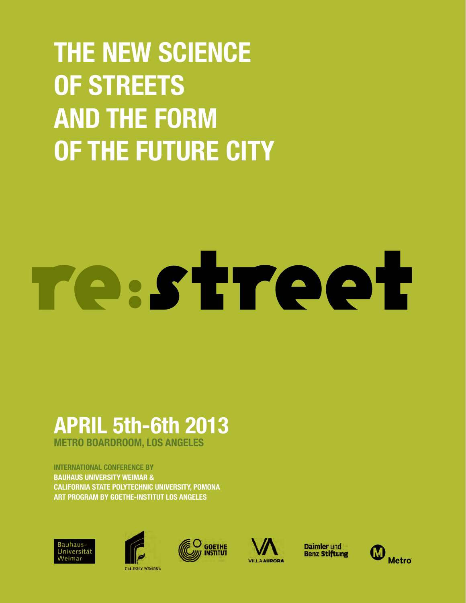## **THE NEW SCIENCE OF STREETS AND THE FORM OF THE FUTURE CITY**

# Testreet

## **APRIL 5th-6th 2013**

**METRO BOARDROOM, LOS ANGELES**

#### **INTERNATIONAL CONFERENCE BY**

**BAUHAUS UNIVERSITY WEIMAR & CALIFORNIA STATE POLYTECHNIC UNIVERSITY, POMONA ART PROGRAM BY GOETHE-INSTITUT LOS ANGELES**









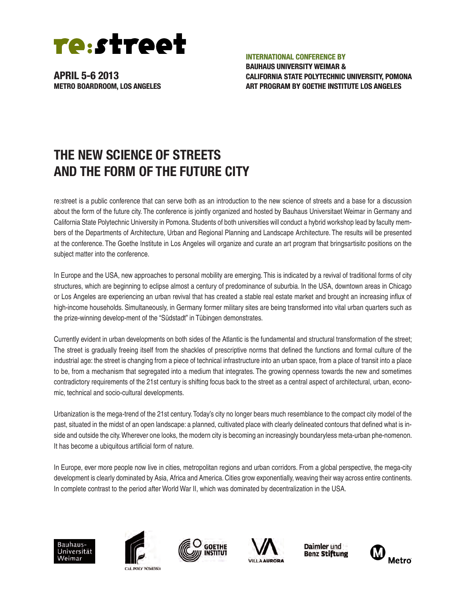

**INTERNATIONAL CONFERENCE BY**

**BAUHAUS UNIVERSITY WEIMAR & CALIFORNIA STATE POLYTECHNIC UNIVERSITY, POMONA ART PROGRAM BY GOETHE INSTITUTE LOS ANGELES**

### **THE NEW SCIENCE OF STREETS AND THE FORM OF THE FUTURE CITY**

re:street is a public conference that can serve both as an introduction to the new science of streets and a base for a discussion about the form of the future city. The conference is jointly organized and hosted by Bauhaus Universitaet Weimar in Germany and California State Polytechnic University in Pomona. Students of both universities will conduct a hybrid workshop lead by faculty members of the Departments of Architecture, Urban and Regional Planning and Landscape Architecture. The results will be presented at the conference. The Goethe Institute in Los Angeles will organize and curate an art program that bringsartisitc positions on the subject matter into the conference.

In Europe and the USA, new approaches to personal mobility are emerging. This is indicated by a revival of traditional forms of city structures, which are beginning to eclipse almost a century of predominance of suburbia. In the USA, downtown areas in Chicago or Los Angeles are experiencing an urban revival that has created a stable real estate market and brought an increasing influx of high-income households. Simultaneously, in Germany former military sites are being transformed into vital urban quarters such as the prize-winning develop-ment of the "Südstadt" in Tübingen demonstrates.

Currently evident in urban developments on both sides of the Atlantic is the fundamental and structural transformation of the street; The street is gradually freeing itself from the shackles of prescriptive norms that defined the functions and formal culture of the industrial age: the street is changing from a piece of technical infrastructure into an urban space, from a place of transit into a place to be, from a mechanism that segregated into a medium that integrates. The growing openness towards the new and sometimes contradictory requirements of the 21st century is shifting focus back to the street as a central aspect of architectural, urban, economic, technical and socio-cultural developments.

Urbanization is the mega-trend of the 21st century. Today's city no longer bears much resemblance to the compact city model of the past, situated in the midst of an open landscape: a planned, cultivated place with clearly delineated contours that defined what is inside and outside the city. Wherever one looks, the modern city is becoming an increasingly boundaryless meta-urban phe-nomenon. It has become a ubiquitous artificial form of nature.

In Europe, ever more people now live in cities, metropolitan regions and urban corridors. From a global perspective, the mega-city development is clearly dominated by Asia, Africa and America. Cities grow exponentially, weaving their way across entire continents. In complete contrast to the period after World War II, which was dominated by decentralization in the USA.









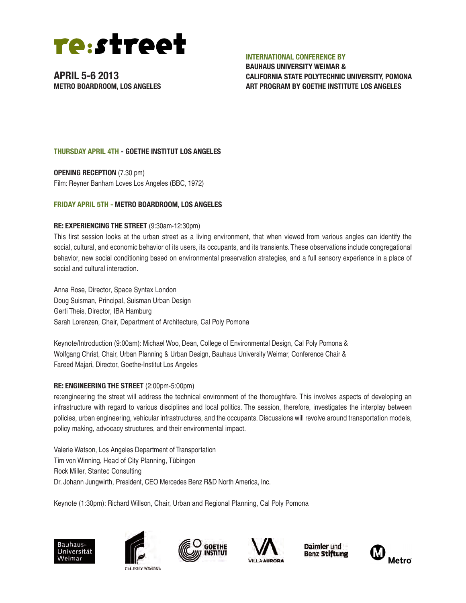

#### **INTERNATIONAL CONFERENCE BY**

**BAUHAUS UNIVERSITY WEIMAR & CALIFORNIA STATE POLYTECHNIC UNIVERSITY, POMONA ART PROGRAM BY GOETHE INSTITUTE LOS ANGELES**

#### **THURSDAY APRIL 4TH - GOETHE INSTITUT LOS ANGELES**

**OPENING RECEPTION** (7.30 pm) Film: Reyner Banham Loves Los Angeles (BBC, 1972)

#### **FRIDAY APRIL 5TH - METRO BOARDROOM, LOS ANGELES**

#### **RE: EXPERIENCING THE STREET** (9:30am-12:30pm)

This first session looks at the urban street as a living environment, that when viewed from various angles can identify the social, cultural, and economic behavior of its users, its occupants, and its transients. These observations include congregational behavior, new social conditioning based on environmental preservation strategies, and a full sensory experience in a place of social and cultural interaction.

Anna Rose, Director, Space Syntax London Doug Suisman, Principal, Suisman Urban Design Gerti Theis, Director, IBA Hamburg Sarah Lorenzen, Chair, Department of Architecture, Cal Poly Pomona

Keynote/Introduction (9:00am): Michael Woo, Dean, College of Environmental Design, Cal Poly Pomona & Wolfgang Christ, Chair, Urban Planning & Urban Design, Bauhaus University Weimar, Conference Chair & Fareed Majari, Director, Goethe-Institut Los Angeles

#### **RE: ENGINEERING THE STREET** (2:00pm-5:00pm)

re:engineering the street will address the technical environment of the thoroughfare. This involves aspects of developing an infrastructure with regard to various disciplines and local politics. The session, therefore, investigates the interplay between policies, urban engineering, vehicular infrastructures, and the occupants. Discussions will revolve around transportation models, policy making, advocacy structures, and their environmental impact.

Valerie Watson, Los Angeles Department of Transportation Tim von Winning, Head of City Planning, Tübingen Rock Miller, Stantec Consulting Dr. Johann Jungwirth, President, CEO Mercedes Benz R&D North America, Inc.

Keynote (1:30pm): Richard Willson, Chair, Urban and Regional Planning, Cal Poly Pomona









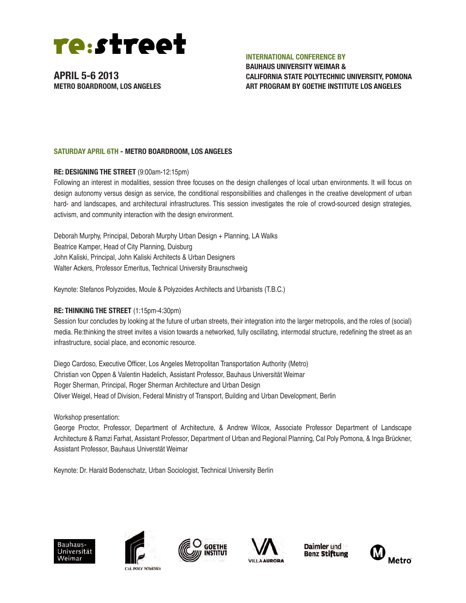

#### **INTERNATIONAL CONFERENCE BY**

**BAUHAUS UNIVERSITY WEIMAR & CALIFORNIA STATE POLYTECHNIC UNIVERSITY, POMONA ART PROGRAM BY GOETHE INSTITUTE LOS ANGELES**

#### **SATURDAY APRIL 6TH - METRO BOARDROOM, LOS ANGELES**

#### **RE: DESIGNING THE STREET** (9:00am-12:15pm)

Following an interest in modalities, session three focuses on the design challenges of local urban environments. It will focus on design autonomy versus design as service, the conditional responsibilities and challenges in the creative development of urban hard- and landscapes, and architectural infrastructures. This session investigates the role of crowd-sourced design strategies, activism, and community interaction with the design environment.

Deborah Murphy, Principal, Deborah Murphy Urban Design + Planning, LA Walks Beatrice Kamper, Head of City Planning, Duisburg John Kaliski, Principal, John Kaliski Architects & Urban Designers Walter Ackers, Professor Emeritus, Technical University Braunschweig

Keynote: Stefanos Polyzoides, Moule & Polyzoides Architects and Urbanists (T.B.C.)

#### **RE: THINKING THE STREET** (1:15pm-4:30pm)

Session four concludes by looking at the future of urban streets, their integration into the larger metropolis, and the roles of (social) media. Re:thinking the street invites a vision towards a networked, fully oscillating, intermodal structure, redefining the street as an infrastructure, social place, and economic resource.

Diego Cardoso, Executive Officer, Los Angeles Metropolitan Transportation Authority (Metro) Christian von Oppen & Valentin Hadelich, Assistant Professor, Bauhaus Universität Weimar Roger Sherman, Principal, Roger Sherman Architecture and Urban Design Oliver Weigel, Head of Division, Federal Ministry of Transport, Building and Urban Development, Berlin

Workshop presentation:

George Proctor, Professor, Department of Architecture, & Andrew Wilcox, Associate Professor Department of Landscape Architecture & Ramzi Farhat, Assistant Professor, Department of Urban and Regional Planning, Cal Poly Pomona, & Inga Brückner, Assistant Professor, Bauhaus Universtät Weimar

Keynote: Dr. Harald Bodenschatz, Urban Sociologist, Technical University Berlin